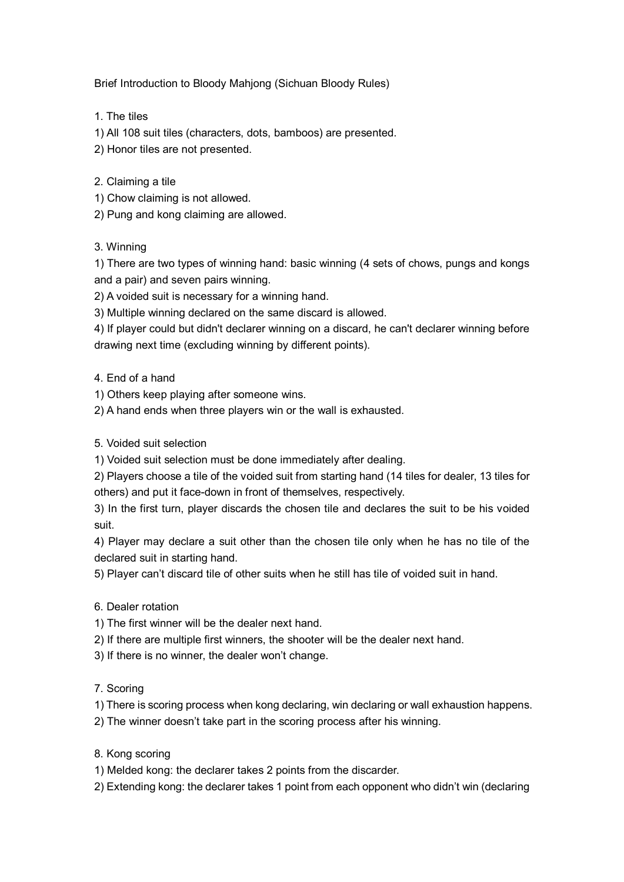Brief Introduction to Bloody Mahjong (Sichuan Bloody Rules)

- 1. The tiles
- 1) All 108 suit tiles (characters, dots, bamboos) are presented.
- 2) Honor tiles are not presented.
- 2. Claiming a tile
- 1) Chow claiming is not allowed.
- 2) Pung and kong claiming are allowed.

## 3. Winning

1) There are two types of winning hand: basic winning (4 sets of chows, pungs and kongs and a pair) and seven pairs winning.

2) A voided suit is necessary for a winning hand.

3) Multiple winning declared on the same discard is allowed.

4) If player could but didn't declarer winning on a discard, he can't declarer winning before drawing next time (excluding winning by different points).

- 4. End of a hand
- 1) Others keep playing after someone wins.
- 2) A hand ends when three players win or the wall is exhausted.
- 5. Voided suit selection
- 1) Voided suit selection must be done immediately after dealing.

2) Players choose a tile of the voided suit from starting hand (14 tiles for dealer, 13 tiles for others) and put it face-down in front of themselves, respectively.

3) In the first turn, player discards the chosen tile and declares the suit to be his voided suit.

4) Player may declare a suit other than the chosen tile only when he has no tile of the declared suit in starting hand.

5) Player can't discard tile of other suits when he still has tile of voided suit in hand.

- 6. Dealer rotation
- 1) The first winner will be the dealer next hand.
- 2) If there are multiple first winners, the shooter will be the dealer next hand.
- 3) If there is no winner, the dealer won't change.

## 7. Scoring

1) There is scoring process when kong declaring, win declaring or wall exhaustion happens.

- 2) The winner doesn't take part in the scoring process after his winning.
- 8. Kong scoring
- 1) Melded kong: the declarer takes 2 points from the discarder.
- 2) Extending kong: the declarer takes 1 point from each opponent who didn't win (declaring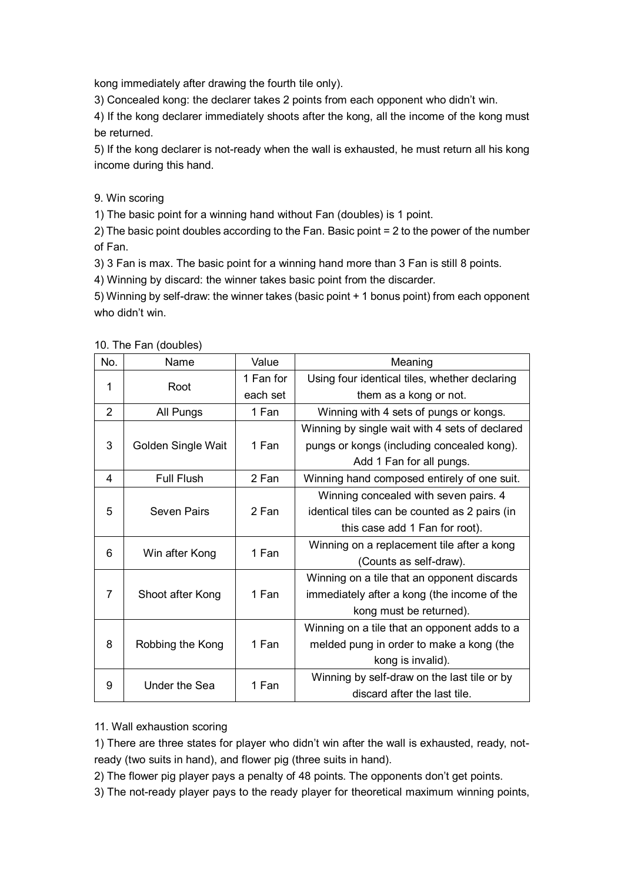kong immediately after drawing the fourth tile only).

3) Concealed kong: the declarer takes 2 points from each opponent who didn't win.

4) If the kong declarer immediately shoots after the kong, all the income of the kong must be returned.

5) If the kong declarer is not-ready when the wall is exhausted, he must return all his kong income during this hand.

9. Win scoring

1) The basic point for a winning hand without Fan (doubles) is 1 point.

2) The basic point doubles according to the Fan. Basic point = 2 to the power of the number of Fan.

3) 3 Fan is max. The basic point for a winning hand more than 3 Fan is still 8 points.

4) Winning by discard: the winner takes basic point from the discarder.

5) Winning by self-draw: the winner takes (basic point + 1 bonus point) from each opponent who didn't win.

| No.            | Name               | Value     | Meaning                                        |
|----------------|--------------------|-----------|------------------------------------------------|
| 1              | Root               | 1 Fan for | Using four identical tiles, whether declaring  |
|                |                    | each set  | them as a kong or not.                         |
| $\overline{2}$ | All Pungs          | 1 Fan     | Winning with 4 sets of pungs or kongs.         |
| 3              | Golden Single Wait | 1 Fan     | Winning by single wait with 4 sets of declared |
|                |                    |           | pungs or kongs (including concealed kong).     |
|                |                    |           | Add 1 Fan for all pungs.                       |
| 4              | Full Flush         | 2 Fan     | Winning hand composed entirely of one suit.    |
| 5              | Seven Pairs        | 2 Fan     | Winning concealed with seven pairs. 4          |
|                |                    |           | identical tiles can be counted as 2 pairs (in  |
|                |                    |           | this case add 1 Fan for root).                 |
| 6              | Win after Kong     | 1 Fan     | Winning on a replacement tile after a kong     |
|                |                    |           | (Counts as self-draw).                         |
| 7              | Shoot after Kong   | 1 Fan     | Winning on a tile that an opponent discards    |
|                |                    |           | immediately after a kong (the income of the    |
|                |                    |           | kong must be returned).                        |
| 8              | Robbing the Kong   | 1 Fan     | Winning on a tile that an opponent adds to a   |
|                |                    |           | melded pung in order to make a kong (the       |
|                |                    |           | kong is invalid).                              |
| 9              | Under the Sea      | 1 Fan     | Winning by self-draw on the last tile or by    |
|                |                    |           | discard after the last tile.                   |

10. The Fan (doubles)

## 11. Wall exhaustion scoring

1) There are three states for player who didn't win after the wall is exhausted, ready, notready (two suits in hand), and flower pig (three suits in hand).

2) The flower pig player pays a penalty of 48 points. The opponents don't get points.

3) The not-ready player pays to the ready player for theoretical maximum winning points,